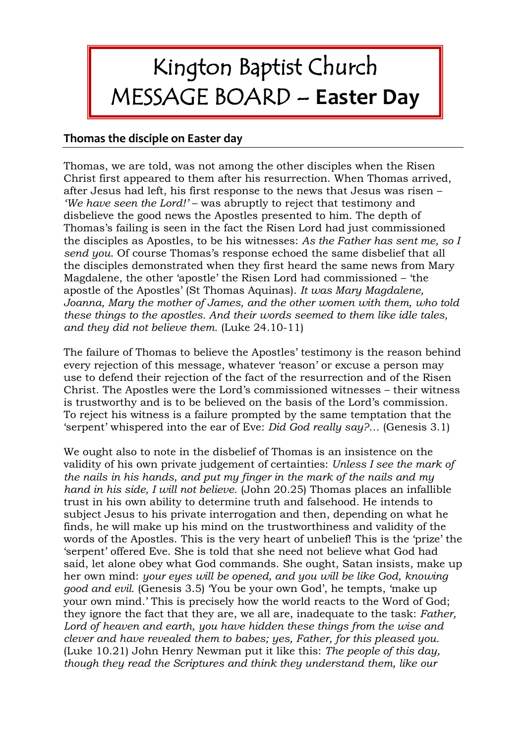## Kington Baptist Church MESSAGE BOARD – **Easter Day**

## **Thomas the disciple on Easter day**

Thomas, we are told, was not among the other disciples when the Risen Christ first appeared to them after his resurrection. When Thomas arrived, after Jesus had left, his first response to the news that Jesus was risen – *'We have seen the Lord!'* – was abruptly to reject that testimony and disbelieve the good news the Apostles presented to him. The depth of Thomas's failing is seen in the fact the Risen Lord had just commissioned the disciples as Apostles, to be his witnesses: *As the Father has sent me, so I send you*. Of course Thomas's response echoed the same disbelief that all the disciples demonstrated when they first heard the same news from Mary Magdalene, the other 'apostle' the Risen Lord had commissioned – 'the apostle of the Apostles' (St Thomas Aquinas). *It was Mary Magdalene, Joanna, Mary the mother of James, and the other women with them, who told these things to the apostles. And their words seemed to them like idle tales, and they did not believe them.* (Luke 24.10-11)

The failure of Thomas to believe the Apostles' testimony is the reason behind every rejection of this message, whatever 'reason' or excuse a person may use to defend their rejection of the fact of the resurrection and of the Risen Christ. The Apostles were the Lord's commissioned witnesses – their witness is trustworthy and is to be believed on the basis of the Lord's commission. To reject his witness is a failure prompted by the same temptation that the 'serpent' whispered into the ear of Eve: *Did God really say?…* (Genesis 3.1)

We ought also to note in the disbelief of Thomas is an insistence on the validity of his own private judgement of certainties: *Unless I see the mark of the nails in his hands, and put my finger in the mark of the nails and my hand in his side, I will not believe.* (John 20.25) Thomas places an infallible trust in his own ability to determine truth and falsehood. He intends to subject Jesus to his private interrogation and then, depending on what he finds, he will make up his mind on the trustworthiness and validity of the words of the Apostles. This is the very heart of unbelief! This is the 'prize' the 'serpent' offered Eve. She is told that she need not believe what God had said, let alone obey what God commands. She ought, Satan insists, make up her own mind: *your eyes will be opened, and you will be like God, knowing good and evil.* (Genesis 3.5) 'You be your own God', he tempts, 'make up your own mind.' This is precisely how the world reacts to the Word of God; they ignore the fact that they are, we all are, inadequate to the task: *Father, Lord of heaven and earth, you have hidden these things from the wise and clever and have revealed them to babes; yes, Father, for this pleased you.* (Luke 10.21) John Henry Newman put it like this: *The people of this day, though they read the Scriptures and think they understand them, like our*